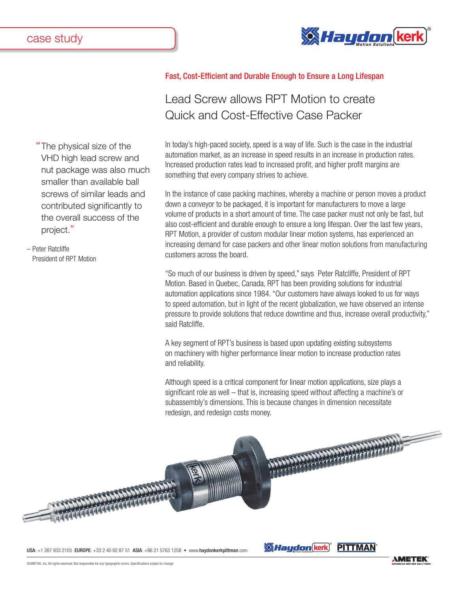

"The physical size of the VHD high lead screw and nut package was also much smaller than available ball screws of similar leads and contributed significantly to the overall success of the project."

– Peter Ratcliffe President of RPT Motion

## Fast, Cost-Efficient and Durable Enough to Ensure a Long Lifespan

## Lead Screw allows RPT Motion to create Quick and Cost-Effective Case Packer

In today's high-paced society, speed is a way of life. Such is the case in the industrial automation market, as an increase in speed results in an increase in production rates. Increased production rates lead to increased profit, and higher profit margins are something that every company strives to achieve.

In the instance of case packing machines, whereby a machine or person moves a product down a conveyor to be packaged, it is important for manufacturers to move a large volume of products in a short amount of time. The case packer must not only be fast, but also cost-efficient and durable enough to ensure a long lifespan. Over the last few years, RPT Motion, a provider of custom modular linear motion systems, has experienced an increasing demand for case packers and other linear motion solutions from manufacturing customers across the board.

"So much of our business is driven by speed," says Peter Ratcliffe, President of RPT Motion. Based in Quebec, Canada, RPT has been providing solutions for industrial automation applications since 1984. "Our customers have always looked to us for ways to speed automation, but in light of the recent globalization, we have observed an intense pressure to provide solutions that reduce downtime and thus, increase overall productivity," said Ratcliffe.

A key segment of RPT's business is based upon updating existing subsystems on machinery with higher performance linear motion to increase production rates and reliability.

Although speed is a critical component for linear motion applications, size plays a significant role as well – that is, increasing speed without affecting a machine's or subassembly's dimensions. This is because changes in dimension necessitate redesign, and redesign costs money.

*Maudon* kerk PITTMAN



USA: +1 267 933 2105 EUROPE: +33 2 40 92 87 51 ASIA: +86 21 5763 1258 • www.haydonkerkpittman.com

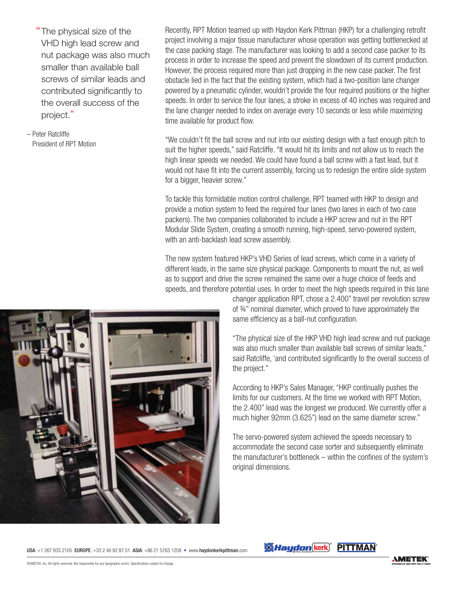The physical size of the VHD high lead screw and nut package was also much smaller than available ball screws of similar leads and contributed significantly to the overall success of the project."

– Peter Ratcliffe President of RPT Motion Recently, RPT Motion teamed up with Haydon Kerk Pittman (HKP) for a challenging retrofit project involving a major tissue manufacturer whose operation was getting bottlenecked at the case packing stage. The manufacturer was looking to add a second case packer to its process in order to increase the speed and prevent the slowdown of its current production. However, the process required more than just dropping in the new case packer. The first obstacle lied in the fact that the existing system, which had a two-position lane changer powered by a pneumatic cylinder, wouldn't provide the four required positions or the higher speeds. In order to service the four lanes, a stroke in excess of 40 inches was required and the lane changer needed to index on average every 10 seconds or less while maximizing time available for product flow.

"We couldn't fit the ball screw and nut into our existing design with a fast enough pitch to suit the higher speeds," said Ratcliffe. "It would hit its limits and not allow us to reach the high linear speeds we needed. We could have found a ball screw with a fast lead, but it would not have fit into the current assembly, forcing us to redesign the entire slide system for a bigger, heavier screw."

To tackle this formidable motion control challenge, RPT teamed with HKP to design and provide a motion system to feed the required four lanes (two lanes in each of two case packers). The two companies collaborated to include a HKP screw and nut in the RPT Modular Slide System, creating a smooth running, high-speed, servo-powered system, with an anti-backlash lead screw assembly.

The new system featured HKP's VHD Series of lead screws, which come in a variety of different leads, in the same size physical package. Components to mount the nut, as well as to support and drive the screw remained the same over a huge choice of feeds and speeds, and therefore potential uses. In order to meet the high speeds required in this lane



changer application RPT, chose a 2.400" travel per revolution screw of ¾" nominal diameter, which proved to have approximately the same efficiency as a ball-nut configuration.

"The physical size of the HKP VHD high lead screw and nut package was also much smaller than available ball screws of similar leads," said Ratcliffe, 'and contributed significantly to the overall success of the project."

According to HKP's Sales Manager, "HKP continually pushes the limits for our customers. At the time we worked with RPT Motion, the 2.400" lead was the longest we produced. We currently offer a much higher 92mm (3.625") lead on the same diameter screw."

The servo-powered system achieved the speeds necessary to accommodate the second case sorter and subsequently eliminate the manufacturer's bottleneck – within the confines of the system's original dimensions.

USA: +1 267 933 2105 EUROPE: +33 2 40 92 87 51 ASIA: +86 21 5763 1258 • www.haydonkerkpittman.com